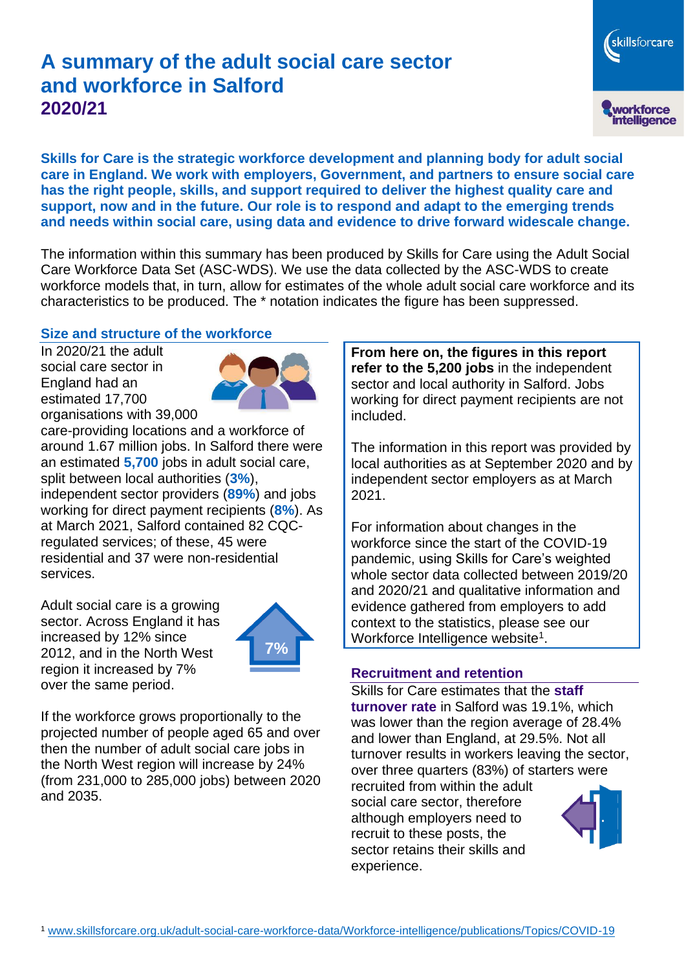# **A summary of the adult social care sector and workforce in Salford 2020/21**

skillsforcare workforce<br>intelligence

**Skills for Care is the strategic workforce development and planning body for adult social care in England. We work with employers, Government, and partners to ensure social care has the right people, skills, and support required to deliver the highest quality care and support, now and in the future. Our role is to respond and adapt to the emerging trends and needs within social care, using data and evidence to drive forward widescale change.**

The information within this summary has been produced by Skills for Care using the Adult Social Care Workforce Data Set (ASC-WDS). We use the data collected by the ASC-WDS to create workforce models that, in turn, allow for estimates of the whole adult social care workforce and its characteristics to be produced. The \* notation indicates the figure has been suppressed.

#### **Size and structure of the workforce**

In 2020/21 the adult social care sector in England had an estimated 17,700 organisations with 39,000



care-providing locations and a workforce of around 1.67 million jobs. In Salford there were an estimated **5,700** jobs in adult social care, split between local authorities (**3%**), independent sector providers (**89%**) and jobs working for direct payment recipients (**8%**). As at March 2021, Salford contained 82 CQCregulated services; of these, 45 were residential and 37 were non-residential services.

Adult social care is a growing sector. Across England it has increased by 12% since 2012, and in the North West region it increased by 7% over the same period.



If the workforce grows proportionally to the projected number of people aged 65 and over then the number of adult social care jobs in the North West region will increase by 24% (from 231,000 to 285,000 jobs) between 2020 and 2035.

**From here on, the figures in this report refer to the 5,200 jobs** in the independent sector and local authority in Salford. Jobs working for direct payment recipients are not included.

The information in this report was provided by local authorities as at September 2020 and by independent sector employers as at March 2021.

For information about changes in the workforce since the start of the COVID-19 pandemic, using Skills for Care's weighted whole sector data collected between 2019/20 and 2020/21 and qualitative information and evidence gathered from employers to add context to the statistics, please see our Workforce Intelligence website<sup>1</sup>.

#### **Recruitment and retention**

Skills for Care estimates that the **staff turnover rate** in Salford was 19.1%, which was lower than the region average of 28.4% and lower than England, at 29.5%. Not all turnover results in workers leaving the sector, over three quarters (83%) of starters were

recruited from within the adult social care sector, therefore although employers need to recruit to these posts, the sector retains their skills and experience.

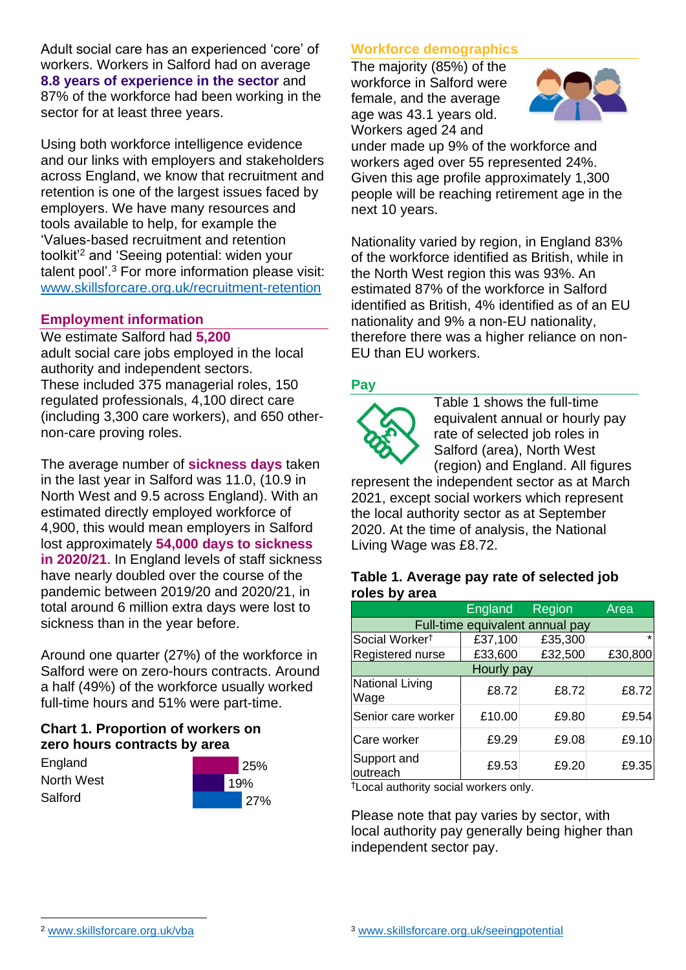Adult social care has an experienced 'core' of workers. Workers in Salford had on average **8.8 years of experience in the sector** and 87% of the workforce had been working in the sector for at least three years.

Using both workforce intelligence evidence and our links with employers and stakeholders across England, we know that recruitment and retention is one of the largest issues faced by employers. We have many resources and tools available to help, for example the 'Values-based recruitment and retention toolkit'<sup>2</sup> and 'Seeing potential: widen your talent pool'. <sup>3</sup> For more information please visit: [www.skillsforcare.org.uk/recruitment-retention](http://www.skillsforcare.org.uk/recruitment-retention)

## **Employment information**

We estimate Salford had **5,200** adult social care jobs employed in the local authority and independent sectors. These included 375 managerial roles, 150 regulated professionals, 4,100 direct care (including 3,300 care workers), and 650 othernon-care proving roles.

The average number of **sickness days** taken in the last year in Salford was 11.0, (10.9 in North West and 9.5 across England). With an estimated directly employed workforce of 4,900, this would mean employers in Salford lost approximately **54,000 days to sickness in 2020/21**. In England levels of staff sickness have nearly doubled over the course of the pandemic between 2019/20 and 2020/21, in total around 6 million extra days were lost to sickness than in the year before.

Around one quarter (27%) of the workforce in Salford were on zero-hours contracts. Around a half (49%) of the workforce usually worked full-time hours and 51% were part-time.

# **Chart 1. Proportion of workers on zero hours contracts by area**

**England** North West **Salford** 



# **Workforce demographics**

The majority (85%) of the workforce in Salford were female, and the average age was 43.1 years old. Workers aged 24 and



under made up 9% of the workforce and workers aged over 55 represented 24%. Given this age profile approximately 1,300 people will be reaching retirement age in the next 10 years.

Nationality varied by region, in England 83% of the workforce identified as British, while in the North West region this was 93%. An estimated 87% of the workforce in Salford identified as British, 4% identified as of an EU nationality and 9% a non-EU nationality, therefore there was a higher reliance on non-EU than EU workers.

# **Pay**



Table 1 shows the full-time equivalent annual or hourly pay rate of selected job roles in Salford (area), North West (region) and England. All figures

represent the independent sector as at March 2021, except social workers which represent the local authority sector as at September 2020. At the time of analysis, the National Living Wage was £8.72.

#### **Table 1. Average pay rate of selected job roles by area**

|                                 | England | Region  | Area    |
|---------------------------------|---------|---------|---------|
| Full-time equivalent annual pay |         |         |         |
| Social Worker <sup>t</sup>      | £37,100 | £35,300 | $\star$ |
| Registered nurse                | £33,600 | £32,500 | £30,800 |
| Hourly pay                      |         |         |         |
| National Living<br>Wage         | £8.72   | £8.72   | £8.72   |
| Senior care worker              | £10.00  | £9.80   | £9.54   |
| Care worker                     | £9.29   | £9.08   | £9.10   |
| Support and<br>outreach         | £9.53   | £9.20   | £9.35   |

†Local authority social workers only.

Please note that pay varies by sector, with local authority pay generally being higher than independent sector pay.

[www.skillsforcare.org.uk/vba](http://www.skillsforcare.org.uk/vba)